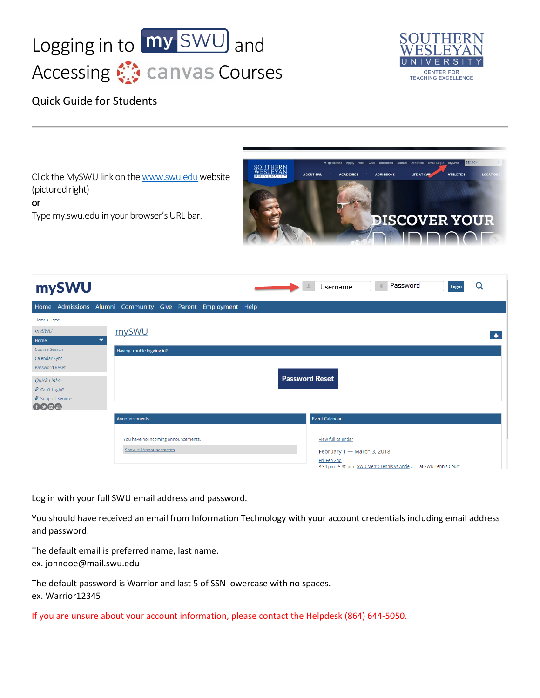



## Quick Guide for Students

Click the MySWU link on th[e www.swu.edu](http://www.swu.edu/) website (pictured right)

or

Type my.swu.edu in your browser's URL bar.



| mySWU                                                        |              |                                                                      |  |  |  |  |                       | Username                                                                         | Password | Login | Q |
|--------------------------------------------------------------|--------------|----------------------------------------------------------------------|--|--|--|--|-----------------------|----------------------------------------------------------------------------------|----------|-------|---|
| Home Admissions Alumni Community Give Parent Employment Help |              |                                                                      |  |  |  |  |                       |                                                                                  |          |       |   |
| Home > Home                                                  |              |                                                                      |  |  |  |  |                       |                                                                                  |          |       |   |
| mySWU<br>Home                                                | $\checkmark$ | mySWU                                                                |  |  |  |  |                       |                                                                                  |          |       |   |
| Course Search                                                |              | Having trouble logging in?                                           |  |  |  |  |                       |                                                                                  |          |       |   |
| Calendar Sync<br>Password Reset                              |              |                                                                      |  |  |  |  |                       |                                                                                  |          |       |   |
| <b>Quick Links</b><br>$\mathcal S$ Can't Login?              |              |                                                                      |  |  |  |  | <b>Password Reset</b> |                                                                                  |          |       |   |
| Support Services<br>GOOG                                     |              |                                                                      |  |  |  |  |                       |                                                                                  |          |       |   |
|                                                              |              | Announcements                                                        |  |  |  |  |                       | <b>Event Calendar</b>                                                            |          |       |   |
|                                                              |              | You have no incoming announcements.<br><b>Show All Announcements</b> |  |  |  |  |                       | View full calendar<br>February 1 - March 3, 2018                                 |          |       |   |
|                                                              |              |                                                                      |  |  |  |  |                       | Fri, Feb 2nd<br>3:30 pm - 5:30 pm SWU Men's Tennis vs Ande - at SWU Tennis Court |          |       |   |

Log in with your full SWU email address and password.

You should have received an email from Information Technology with your account credentials including email address and password.

The default email is preferred name, last name. ex. johndoe@mail.swu.edu

The default password is Warrior and last 5 of SSN lowercase with no spaces. ex. Warrior12345

If you are unsure about your account information, please contact the Helpdesk (864) 644-5050.